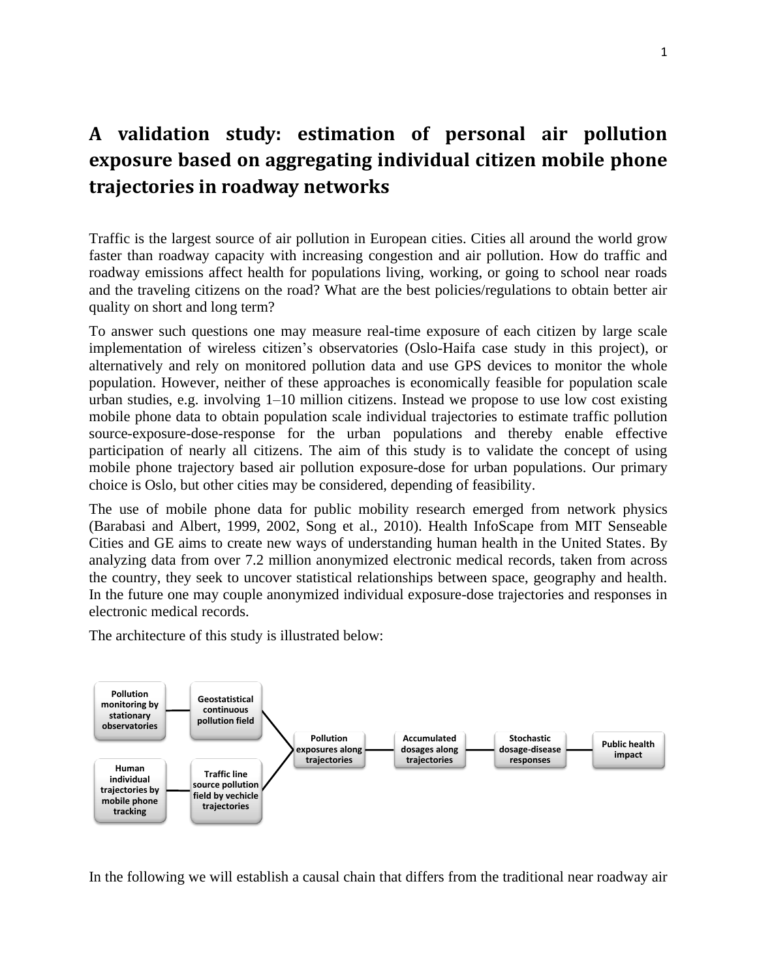## **A validation study: estimation of personal air pollution exposure based on aggregating individual citizen mobile phone trajectories in roadway networks**

Traffic is the largest source of air pollution in European cities. Cities all around the world grow faster than roadway capacity with increasing congestion and air pollution. How do traffic and roadway emissions affect health for populations living, working, or going to school near roads and the traveling citizens on the road? What are the best policies/regulations to obtain better air quality on short and long term?

To answer such questions one may measure real-time exposure of each citizen by large scale implementation of wireless citizen's observatories (Oslo-Haifa case study in this project), or alternatively and rely on monitored pollution data and use GPS devices to monitor the whole population. However, neither of these approaches is economically feasible for population scale urban studies, e.g. involving 1–10 million citizens. Instead we propose to use low cost existing mobile phone data to obtain population scale individual trajectories to estimate traffic pollution source-exposure-dose-response for the urban populations and thereby enable effective participation of nearly all citizens. The aim of this study is to validate the concept of using mobile phone trajectory based air pollution exposure-dose for urban populations. Our primary choice is Oslo, but other cities may be considered, depending of feasibility.

The use of mobile phone data for public mobility research emerged from network physics (Barabasi and Albert, 1999, 2002, Song et al., 2010). [Health InfoScape](http://senseable.mit.edu/healthinfoscape/) from MIT Senseable Cities and GE aims to create new ways of understanding human health in the United States. By analyzing data from over 7.2 million anonymized electronic medical records, taken from across the country, they seek to uncover statistical relationships between space, geography and health. In the future one may couple anonymized individual exposure-dose trajectories and responses in electronic medical records.

The architecture of this study is illustrated below:



In the following we will establish a causal chain that differs from the traditional near roadway air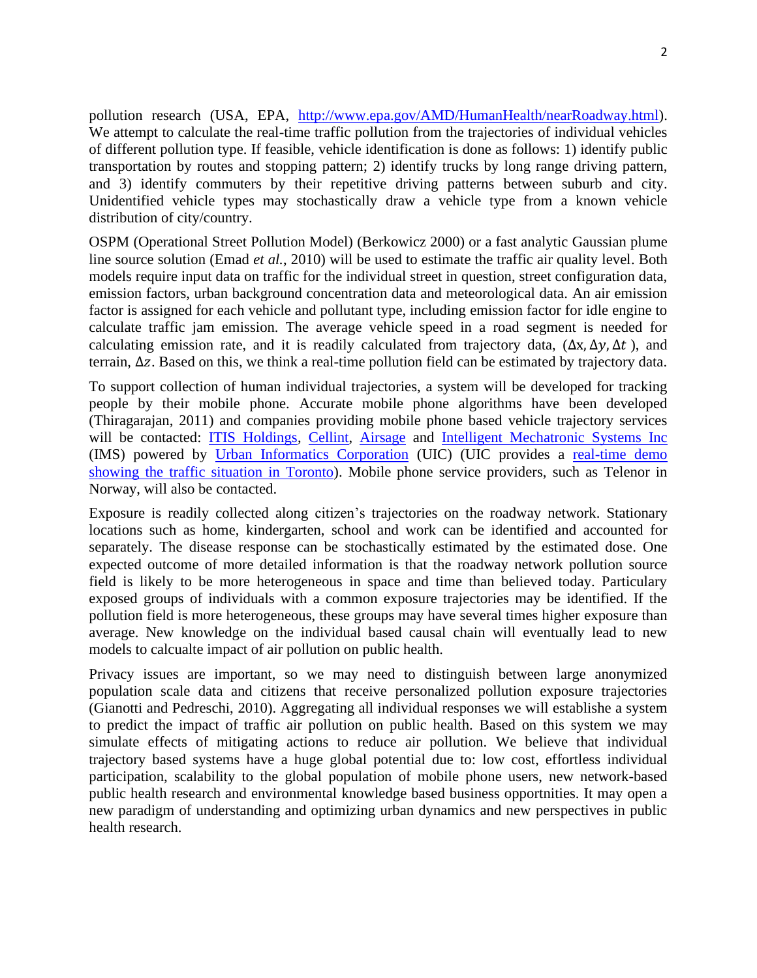pollution research (USA, EPA, [http://www.epa.gov/AMD/HumanHealth/nearRoadway.html\)](http://www.epa.gov/AMD/HumanHealth/nearRoadway.html). We attempt to calculate the real-time traffic pollution from the trajectories of individual vehicles of different pollution type. If feasible, vehicle identification is done as follows: 1) identify public transportation by routes and stopping pattern; 2) identify trucks by long range driving pattern, and 3) identify commuters by their repetitive driving patterns between suburb and city. Unidentified vehicle types may stochastically draw a vehicle type from a known vehicle distribution of city/country.

OSPM (Operational Street Pollution Model) (Berkowicz 2000) or a fast analytic Gaussian plume line source solution (Emad *et al.*, 2010) will be used to estimate the traffic air quality level. Both models require input data on traffic for the individual street in question, street configuration data, emission factors, urban background concentration data and meteorological data. An air emission factor is assigned for each vehicle and pollutant type, including emission factor for idle engine to calculate traffic jam emission. The average vehicle speed in a road segment is needed for calculating emission rate, and it is readily calculated from trajectory data,  $(\Delta x, \Delta y, \Delta t)$ , and terrain,  $\Delta z$ . Based on this, we think a real-time pollution field can be estimated by trajectory data.

To support collection of human individual trajectories, a system will be developed for tracking people by their mobile phone. Accurate mobile phone algorithms have been developed (Thiragarajan, 2011) and companies providing mobile phone based vehicle trajectory services will be contacted: [ITIS Holdings,](http://www.itisholdings.com/) [Cellint,](http://www.cellint.com/) [Airsage](http://www.airsage.com/domains/airsage_com/data/free_docs/GeoStatsReport_2009-04-20_FINAL.pdf) and [Intelligent Mechatronic Systems Inc](http://www.intellimec.com/) (IMS) powered by [Urban Informatics Corporation](http://www.uinformatics.com/) (UIC) (UIC provides a [real-time demo](http://uicdemo.intellimec.com/)  [showing the traffic situation in Toronto\)](http://uicdemo.intellimec.com/). Mobile phone service providers, such as Telenor in Norway, will also be contacted.

Exposure is readily collected along citizen's trajectories on the roadway network. Stationary locations such as home, kindergarten, school and work can be identified and accounted for separately. The disease response can be stochastically estimated by the estimated dose. One expected outcome of more detailed information is that the roadway network pollution source field is likely to be more heterogeneous in space and time than believed today. Particulary exposed groups of individuals with a common exposure trajectories may be identified. If the pollution field is more heterogeneous, these groups may have several times higher exposure than average. New knowledge on the individual based causal chain will eventually lead to new models to calcualte impact of air pollution on public health.

Privacy issues are important, so we may need to distinguish between large anonymized population scale data and citizens that receive personalized pollution exposure trajectories (Gianotti and Pedreschi, 2010). Aggregating all individual responses we will establishe a system to predict the impact of traffic air pollution on public health. Based on this system we may simulate effects of mitigating actions to reduce air pollution. We believe that individual trajectory based systems have a huge global potential due to: low cost, effortless individual participation, scalability to the global population of mobile phone users, new network-based public health research and environmental knowledge based business opportnities. It may open a new paradigm of understanding and optimizing urban dynamics and new perspectives in public health research.